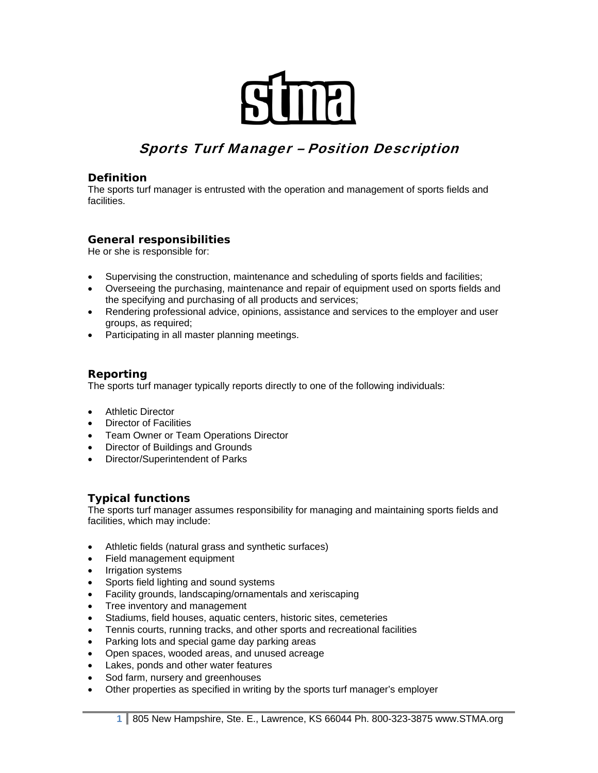# Sports Turf Manager – Position Description

#### **Definition**

The sports turf manager is entrusted with the operation and management of sports fields and facilities.

## **General responsibilities**

He or she is responsible for:

- Supervising the construction, maintenance and scheduling of sports fields and facilities;
- Overseeing the purchasing, maintenance and repair of equipment used on sports fields and the specifying and purchasing of all products and services;
- Rendering professional advice, opinions, assistance and services to the employer and user groups, as required;
- Participating in all master planning meetings.

#### **Reporting**

The sports turf manager typically reports directly to one of the following individuals:

- Athletic Director
- Director of Facilities
- Team Owner or Team Operations Director
- Director of Buildings and Grounds
- Director/Superintendent of Parks

#### **Typical functions**

The sports turf manager assumes responsibility for managing and maintaining sports fields and facilities, which may include:

- Athletic fields (natural grass and synthetic surfaces)
- Field management equipment
- Irrigation systems
- Sports field lighting and sound systems
- Facility grounds, landscaping/ornamentals and xeriscaping
- Tree inventory and management
- Stadiums, field houses, aquatic centers, historic sites, cemeteries
- Tennis courts, running tracks, and other sports and recreational facilities
- Parking lots and special game day parking areas
- Open spaces, wooded areas, and unused acreage
- Lakes, ponds and other water features
- Sod farm, nursery and greenhouses
- Other properties as specified in writing by the sports turf manager's employer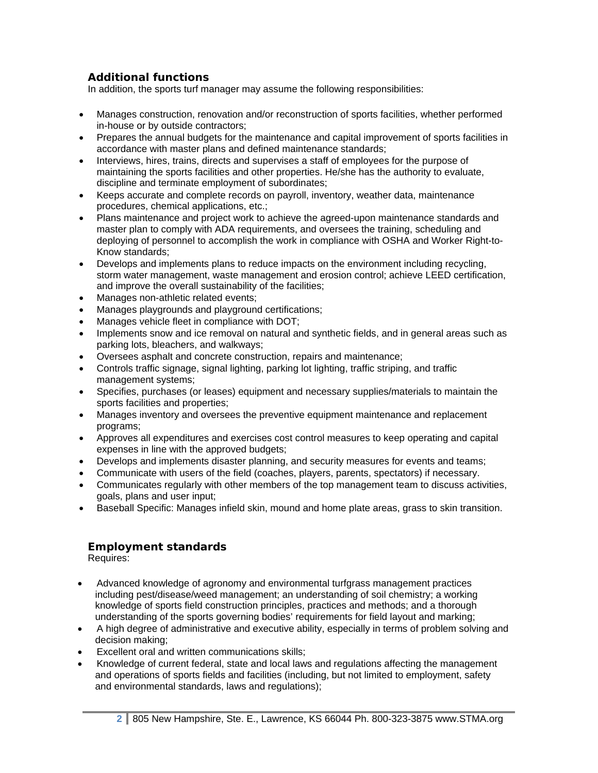## **Additional functions**

In addition, the sports turf manager may assume the following responsibilities:

- Manages construction, renovation and/or reconstruction of sports facilities, whether performed in-house or by outside contractors;
- Prepares the annual budgets for the maintenance and capital improvement of sports facilities in accordance with master plans and defined maintenance standards;
- Interviews, hires, trains, directs and supervises a staff of employees for the purpose of maintaining the sports facilities and other properties. He/she has the authority to evaluate, discipline and terminate employment of subordinates;
- Keeps accurate and complete records on payroll, inventory, weather data, maintenance procedures, chemical applications, etc.;
- Plans maintenance and project work to achieve the agreed-upon maintenance standards and master plan to comply with ADA requirements, and oversees the training, scheduling and deploying of personnel to accomplish the work in compliance with OSHA and Worker Right-to-Know standards;
- Develops and implements plans to reduce impacts on the environment including recycling, storm water management, waste management and erosion control; achieve LEED certification, and improve the overall sustainability of the facilities;
- Manages non-athletic related events;
- Manages playgrounds and playground certifications;
- Manages vehicle fleet in compliance with DOT;
- Implements snow and ice removal on natural and synthetic fields, and in general areas such as parking lots, bleachers, and walkways;
- Oversees asphalt and concrete construction, repairs and maintenance;
- Controls traffic signage, signal lighting, parking lot lighting, traffic striping, and traffic management systems;
- Specifies, purchases (or leases) equipment and necessary supplies/materials to maintain the sports facilities and properties;
- Manages inventory and oversees the preventive equipment maintenance and replacement programs;
- Approves all expenditures and exercises cost control measures to keep operating and capital expenses in line with the approved budgets;
- Develops and implements disaster planning, and security measures for events and teams;
- Communicate with users of the field (coaches, players, parents, spectators) if necessary.
- Communicates regularly with other members of the top management team to discuss activities, goals, plans and user input;
- Baseball Specific: Manages infield skin, mound and home plate areas, grass to skin transition.

#### **Employment standards**

Requires:

- Advanced knowledge of agronomy and environmental turfgrass management practices including pest/disease/weed management; an understanding of soil chemistry; a working knowledge of sports field construction principles, practices and methods; and a thorough understanding of the sports governing bodies' requirements for field layout and marking;
- A high degree of administrative and executive ability, especially in terms of problem solving and decision making;
- Excellent oral and written communications skills:
- Knowledge of current federal, state and local laws and regulations affecting the management and operations of sports fields and facilities (including, but not limited to employment, safety and environmental standards, laws and regulations);